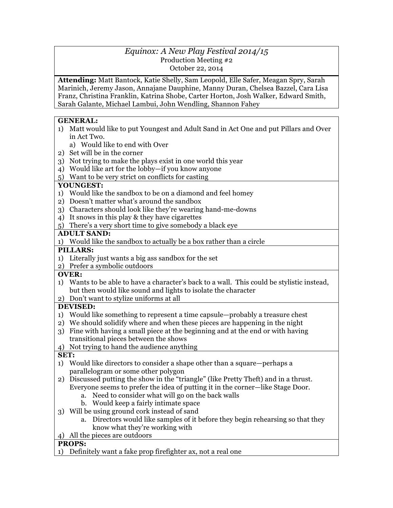### *Equinox: A New Play Festival 2014/15* Production Meeting #2 October 22, 2014

**Attending:** Matt Bantock, Katie Shelly, Sam Leopold, Elle Safer, Meagan Spry, Sarah Marinich, Jeremy Jason, Annajane Dauphine, Manny Duran, Chelsea Bazzel, Cara Lisa Franz, Christina Franklin, Katrina Shobe, Carter Horton, Josh Walker, Edward Smith, Sarah Galante, Michael Lambui, John Wendling, Shannon Fahey

# **GENERAL:**

- 1) Matt would like to put Youngest and Adult Sand in Act One and put Pillars and Over in Act Two.
	- a) Would like to end with Over
- 2) Set will be in the corner
- 3) Not trying to make the plays exist in one world this year
- 4) Would like art for the lobby—if you know anyone
- 5) Want to be very strict on conflicts for casting

### **YOUNGEST:**

- 1) Would like the sandbox to be on a diamond and feel homey
- 2) Doesn't matter what's around the sandbox
- 3) Characters should look like they're wearing hand-me-downs
- 4) It snows in this play & they have cigarettes
- 5) There's a very short time to give somebody a black eye

# **ADULT SAND:**

1) Would like the sandbox to actually be a box rather than a circle

#### **PILLARS:**

- 1) Literally just wants a big ass sandbox for the set
- 2) Prefer a symbolic outdoors

#### **OVER:**

- 1) Wants to be able to have a character's back to a wall. This could be stylistic instead, but then would like sound and lights to isolate the character
- 2) Don't want to stylize uniforms at all

# **DEVISED:**

- 1) Would like something to represent a time capsule—probably a treasure chest
- 2) We should solidify where and when these pieces are happening in the night
- 3) Fine with having a small piece at the beginning and at the end or with having transitional pieces between the shows
- 4) Not trying to hand the audience anything

# **SET:**

- 1) Would like directors to consider a shape other than a square—perhaps a parallelogram or some other polygon
- 2) Discussed putting the show in the "triangle" (like Pretty Theft) and in a thrust. Everyone seems to prefer the idea of putting it in the corner—like Stage Door.
	- a. Need to consider what will go on the back walls
	- b. Would keep a fairly intimate space
- 3) Will be using ground cork instead of sand
	- a. Directors would like samples of it before they begin rehearsing so that they know what they're working with
- 4) All the pieces are outdoors

# **PROPS:**

1) Definitely want a fake prop firefighter ax, not a real one